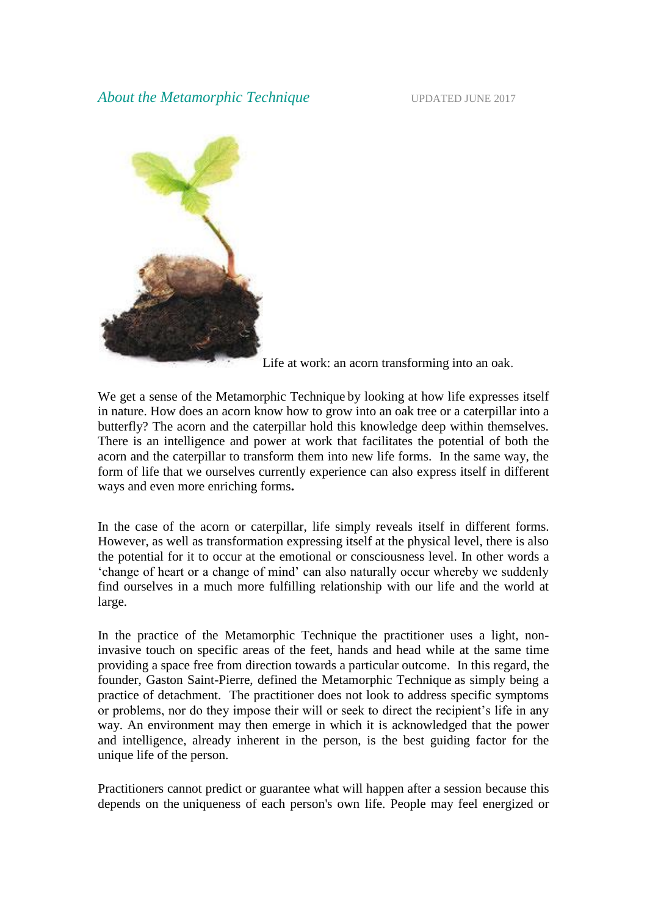

Life at work: an acorn transforming into an oak.

We get a sense of the Metamorphic Technique by looking at how life expresses itself in nature. How does an acorn know how to grow into an oak tree or a caterpillar into a butterfly? The acorn and the caterpillar hold this knowledge deep within themselves. There is an intelligence and power at work that facilitates the potential of both the acorn and the caterpillar to transform them into new life forms. In the same way, the form of life that we ourselves currently experience can also express itself in different ways and even more enriching forms**.**

In the case of the acorn or caterpillar, life simply reveals itself in different forms. However, as well as transformation expressing itself at the physical level, there is also the potential for it to occur at the emotional or consciousness level. In other words a 'change of heart or a change of mind' can also naturally occur whereby we suddenly find ourselves in a much more fulfilling relationship with our life and the world at large.

In the practice of the Metamorphic Technique the practitioner uses a light, noninvasive touch on specific areas of the feet, hands and head while at the same time providing a space free from direction towards a particular outcome. In this regard, the founder, Gaston Saint-Pierre, defined the Metamorphic Technique as simply being a practice of detachment. The practitioner does not look to address specific symptoms or problems, nor do they impose their will or seek to direct the recipient's life in any way. An environment may then emerge in which it is acknowledged that the power and intelligence, already inherent in the person, is the best guiding factor for the unique life of the person.

Practitioners cannot predict or guarantee what will happen after a session because this depends on the uniqueness of each person's own life. People may feel energized or